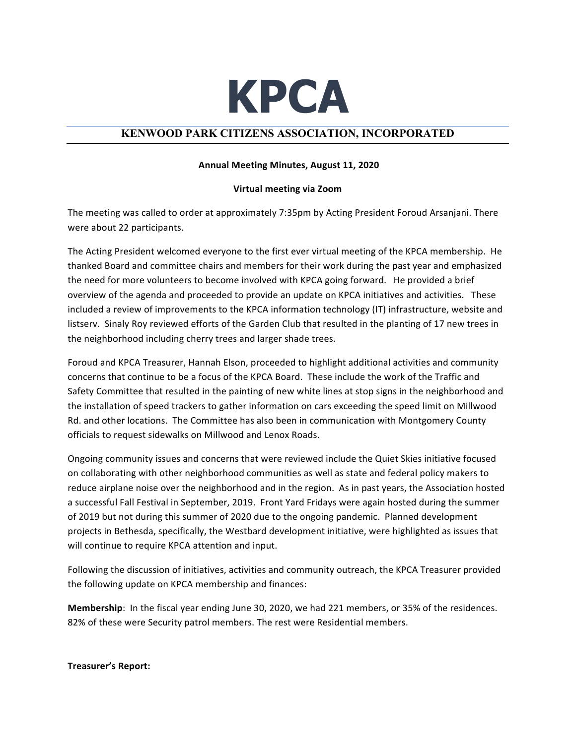

## **KENWOOD PARK CITIZENS ASSOCIATION, INCORPORATED**

## **Annual Meeting Minutes, August 11, 2020**

## **Virtual meeting via Zoom**

The meeting was called to order at approximately 7:35pm by Acting President Foroud Arsanjani. There were about 22 participants.

The Acting President welcomed everyone to the first ever virtual meeting of the KPCA membership. He thanked Board and committee chairs and members for their work during the past year and emphasized the need for more volunteers to become involved with KPCA going forward. He provided a brief overview of the agenda and proceeded to provide an update on KPCA initiatives and activities. These included a review of improvements to the KPCA information technology (IT) infrastructure, website and listserv. Sinaly Roy reviewed efforts of the Garden Club that resulted in the planting of 17 new trees in the neighborhood including cherry trees and larger shade trees.

Foroud and KPCA Treasurer, Hannah Elson, proceeded to highlight additional activities and community concerns that continue to be a focus of the KPCA Board. These include the work of the Traffic and Safety Committee that resulted in the painting of new white lines at stop signs in the neighborhood and the installation of speed trackers to gather information on cars exceeding the speed limit on Millwood Rd. and other locations. The Committee has also been in communication with Montgomery County officials to request sidewalks on Millwood and Lenox Roads.

Ongoing community issues and concerns that were reviewed include the Quiet Skies initiative focused on collaborating with other neighborhood communities as well as state and federal policy makers to reduce airplane noise over the neighborhood and in the region. As in past years, the Association hosted a successful Fall Festival in September, 2019. Front Yard Fridays were again hosted during the summer of 2019 but not during this summer of 2020 due to the ongoing pandemic. Planned development projects in Bethesda, specifically, the Westbard development initiative, were highlighted as issues that will continue to require KPCA attention and input.

Following the discussion of initiatives, activities and community outreach, the KPCA Treasurer provided the following update on KPCA membership and finances:

**Membership:** In the fiscal year ending June 30, 2020, we had 221 members, or 35% of the residences. 82% of these were Security patrol members. The rest were Residential members.

**Treasurer's Report:**